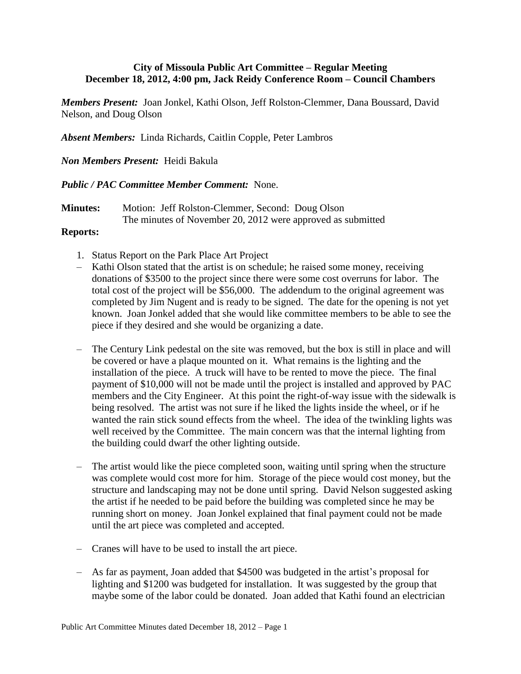## **City of Missoula Public Art Committee – Regular Meeting December 18, 2012, 4:00 pm, Jack Reidy Conference Room – Council Chambers**

*Members Present:* Joan Jonkel, Kathi Olson, Jeff Rolston-Clemmer, Dana Boussard, David Nelson, and Doug Olson

*Absent Members:* Linda Richards, Caitlin Copple, Peter Lambros

## *Non Members Present:* Heidi Bakula

## *Public / PAC Committee Member Comment:* None.

**Minutes:** Motion: Jeff Rolston-Clemmer, Second: Doug Olson The minutes of November 20, 2012 were approved as submitted

## **Reports:**

- 1. Status Report on the Park Place Art Project
- Kathi Olson stated that the artist is on schedule; he raised some money, receiving donations of \$3500 to the project since there were some cost overruns for labor. The total cost of the project will be \$56,000. The addendum to the original agreement was completed by Jim Nugent and is ready to be signed. The date for the opening is not yet known. Joan Jonkel added that she would like committee members to be able to see the piece if they desired and she would be organizing a date.
- The Century Link pedestal on the site was removed, but the box is still in place and will be covered or have a plaque mounted on it. What remains is the lighting and the installation of the piece. A truck will have to be rented to move the piece. The final payment of \$10,000 will not be made until the project is installed and approved by PAC members and the City Engineer. At this point the right-of-way issue with the sidewalk is being resolved. The artist was not sure if he liked the lights inside the wheel, or if he wanted the rain stick sound effects from the wheel. The idea of the twinkling lights was well received by the Committee. The main concern was that the internal lighting from the building could dwarf the other lighting outside.
- The artist would like the piece completed soon, waiting until spring when the structure was complete would cost more for him. Storage of the piece would cost money, but the structure and landscaping may not be done until spring. David Nelson suggested asking the artist if he needed to be paid before the building was completed since he may be running short on money. Joan Jonkel explained that final payment could not be made until the art piece was completed and accepted.
- Cranes will have to be used to install the art piece.
- As far as payment, Joan added that \$4500 was budgeted in the artist's proposal for lighting and \$1200 was budgeted for installation. It was suggested by the group that maybe some of the labor could be donated. Joan added that Kathi found an electrician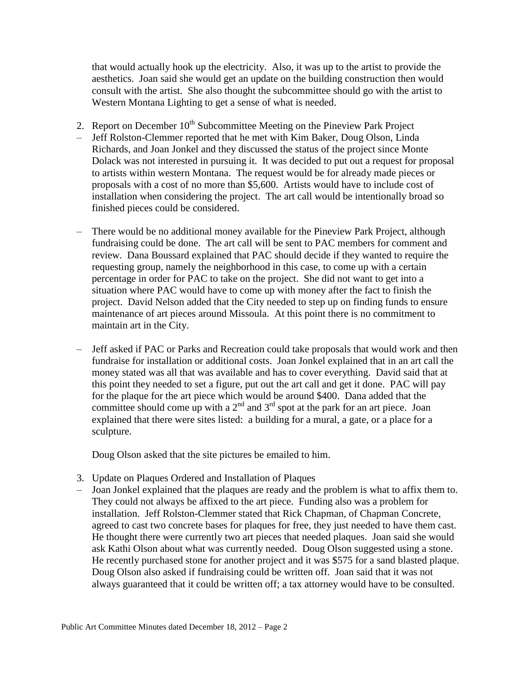that would actually hook up the electricity. Also, it was up to the artist to provide the aesthetics. Joan said she would get an update on the building construction then would consult with the artist. She also thought the subcommittee should go with the artist to Western Montana Lighting to get a sense of what is needed.

- 2. Report on December  $10^{th}$  Subcommittee Meeting on the Pineview Park Project – Jeff Rolston-Clemmer reported that he met with Kim Baker, Doug Olson, Linda Richards, and Joan Jonkel and they discussed the status of the project since Monte Dolack was not interested in pursuing it. It was decided to put out a request for proposal to artists within western Montana. The request would be for already made pieces or proposals with a cost of no more than \$5,600. Artists would have to include cost of installation when considering the project. The art call would be intentionally broad so finished pieces could be considered.
- There would be no additional money available for the Pineview Park Project, although fundraising could be done. The art call will be sent to PAC members for comment and review. Dana Boussard explained that PAC should decide if they wanted to require the requesting group, namely the neighborhood in this case, to come up with a certain percentage in order for PAC to take on the project. She did not want to get into a situation where PAC would have to come up with money after the fact to finish the project. David Nelson added that the City needed to step up on finding funds to ensure maintenance of art pieces around Missoula. At this point there is no commitment to maintain art in the City.
- Jeff asked if PAC or Parks and Recreation could take proposals that would work and then fundraise for installation or additional costs. Joan Jonkel explained that in an art call the money stated was all that was available and has to cover everything. David said that at this point they needed to set a figure, put out the art call and get it done. PAC will pay for the plaque for the art piece which would be around \$400. Dana added that the committee should come up with a  $2<sup>nd</sup>$  and  $3<sup>rd</sup>$  spot at the park for an art piece. Joan explained that there were sites listed: a building for a mural, a gate, or a place for a sculpture.

Doug Olson asked that the site pictures be emailed to him.

- 3. Update on Plaques Ordered and Installation of Plaques
- Joan Jonkel explained that the plaques are ready and the problem is what to affix them to. They could not always be affixed to the art piece. Funding also was a problem for installation. Jeff Rolston-Clemmer stated that Rick Chapman, of Chapman Concrete, agreed to cast two concrete bases for plaques for free, they just needed to have them cast. He thought there were currently two art pieces that needed plaques. Joan said she would ask Kathi Olson about what was currently needed. Doug Olson suggested using a stone. He recently purchased stone for another project and it was \$575 for a sand blasted plaque. Doug Olson also asked if fundraising could be written off. Joan said that it was not always guaranteed that it could be written off; a tax attorney would have to be consulted.